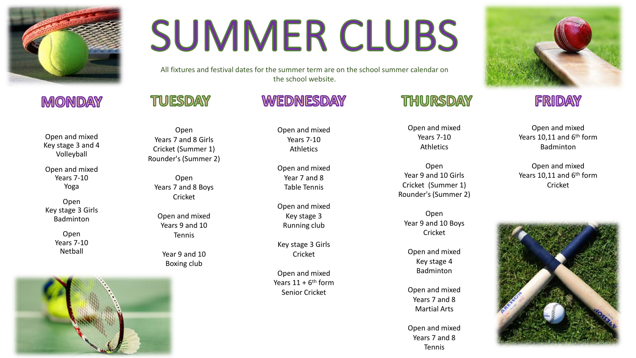

# **SUMMER CLUBS**

All fixtures and festival dates for the summer term are on the school summer calendar on the school website.

**WEDNESDAY** 

### TUESDAY

#### Open and mixed Key stage 3 and 4 Volleyball

**MONDAY** 

Open and mixed Years 7-10 Yoga

Open Key stage 3 Girls Badminton

> Open Years 7-10 Netball



#### Open Years 7 and 8 Girls Cricket (Summer 1) Rounder's (Summer 2)

Open Years 7 and 8 Boys Cricket

Open and mixed Years 9 and 10 Tennis

Year 9 and 10 Boxing club

Open and mixed Years 7-10 Athletics

Open and mixed Year 7 and 8 Table Tennis

Open and mixed Key stage 3 Running club

Key stage 3 Girls Cricket

Open and mixed Years  $11 + 6$ <sup>th</sup> form Senior Cricket

### THURSDAY

Open and mixed Years 7-10 Athletics

Open Year 9 and 10 Girls Cricket (Summer 1) Rounder's (Summer 2)

Open Year 9 and 10 Boys Cricket

Open and mixed Key stage 4 Badminton

Open and mixed Years 7 and 8 Martial Arts

Open and mixed Years 7 and 8 Tennis



### FRIDAY

Open and mixed Years 10,11 and 6<sup>th</sup> form Badminton

Open and mixed Years 10,11 and 6<sup>th</sup> form Cricket